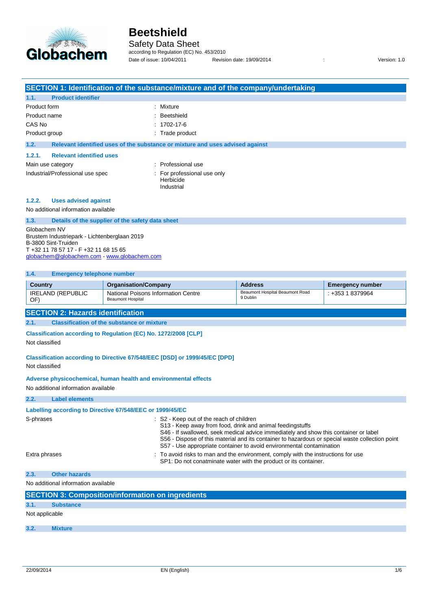

l.

# **Beetshield**

Safety Data Sheet

according to Regulation (EC) No. 453/2010 Date of issue: 10/04/2011 Revision date: 19/09/2014 : Version: 1.0

|                                                                                                                                                                                                                                                                                                                                                                                                      |                                                                                                                                                             |                                                                 | SECTION 1: Identification of the substance/mixture and of the company/undertaking                                                                |                                                                                                                                                                                                                                                                                                                                                    |                         |  |
|------------------------------------------------------------------------------------------------------------------------------------------------------------------------------------------------------------------------------------------------------------------------------------------------------------------------------------------------------------------------------------------------------|-------------------------------------------------------------------------------------------------------------------------------------------------------------|-----------------------------------------------------------------|--------------------------------------------------------------------------------------------------------------------------------------------------|----------------------------------------------------------------------------------------------------------------------------------------------------------------------------------------------------------------------------------------------------------------------------------------------------------------------------------------------------|-------------------------|--|
| 1.1.                                                                                                                                                                                                                                                                                                                                                                                                 | <b>Product identifier</b>                                                                                                                                   |                                                                 |                                                                                                                                                  |                                                                                                                                                                                                                                                                                                                                                    |                         |  |
| Product form<br>Product name<br>CAS No<br>Product group<br>1.2.                                                                                                                                                                                                                                                                                                                                      |                                                                                                                                                             |                                                                 | : Mixture<br>Beetshield<br>$: 1702 - 17 - 6$<br>: Trade product<br>Relevant identified uses of the substance or mixture and uses advised against |                                                                                                                                                                                                                                                                                                                                                    |                         |  |
|                                                                                                                                                                                                                                                                                                                                                                                                      |                                                                                                                                                             |                                                                 |                                                                                                                                                  |                                                                                                                                                                                                                                                                                                                                                    |                         |  |
| <b>Relevant identified uses</b><br>1.2.1.<br>Main use category<br>Industrial/Professional use spec                                                                                                                                                                                                                                                                                                   |                                                                                                                                                             |                                                                 | : Professional use<br>For professional use only<br>Herbicide<br>Industrial                                                                       |                                                                                                                                                                                                                                                                                                                                                    |                         |  |
| 1.2.2.                                                                                                                                                                                                                                                                                                                                                                                               | <b>Uses advised against</b>                                                                                                                                 |                                                                 |                                                                                                                                                  |                                                                                                                                                                                                                                                                                                                                                    |                         |  |
|                                                                                                                                                                                                                                                                                                                                                                                                      | No additional information available                                                                                                                         |                                                                 |                                                                                                                                                  |                                                                                                                                                                                                                                                                                                                                                    |                         |  |
| 1.3.<br>Globachem NV                                                                                                                                                                                                                                                                                                                                                                                 | Brustem Industriepark - Lichtenberglaan 2019<br>B-3800 Sint-Truiden<br>T +32 11 78 57 17 - F +32 11 68 15 65<br>globachem@globachem.com - www.globachem.com | Details of the supplier of the safety data sheet                |                                                                                                                                                  |                                                                                                                                                                                                                                                                                                                                                    |                         |  |
| 1.4.                                                                                                                                                                                                                                                                                                                                                                                                 | <b>Emergency telephone number</b>                                                                                                                           |                                                                 |                                                                                                                                                  |                                                                                                                                                                                                                                                                                                                                                    |                         |  |
| <b>Country</b>                                                                                                                                                                                                                                                                                                                                                                                       |                                                                                                                                                             | <b>Organisation/Company</b>                                     |                                                                                                                                                  | <b>Address</b>                                                                                                                                                                                                                                                                                                                                     | <b>Emergency number</b> |  |
| OF)                                                                                                                                                                                                                                                                                                                                                                                                  | <b>IRELAND (REPUBLIC</b>                                                                                                                                    | National Poisons Information Centre<br><b>Beaumont Hospital</b> |                                                                                                                                                  | Beaumont Hospital Beaumont Road<br>9 Dublin                                                                                                                                                                                                                                                                                                        | : +353 1 8379964        |  |
| <b>SECTION 2: Hazards identification</b><br><b>Classification of the substance or mixture</b><br>2.1.<br>Classification according to Regulation (EC) No. 1272/2008 [CLP]<br>Not classified<br>Classification according to Directive 67/548/EEC [DSD] or 1999/45/EC [DPD]<br>Not classified<br>Adverse physicochemical, human health and environmental effects<br>No additional information available |                                                                                                                                                             |                                                                 |                                                                                                                                                  |                                                                                                                                                                                                                                                                                                                                                    |                         |  |
| 2.2.                                                                                                                                                                                                                                                                                                                                                                                                 | <b>Label elements</b>                                                                                                                                       |                                                                 |                                                                                                                                                  |                                                                                                                                                                                                                                                                                                                                                    |                         |  |
| S-phrases<br>Extra phrases                                                                                                                                                                                                                                                                                                                                                                           | Labelling according to Directive 67/548/EEC or 1999/45/EC                                                                                                   |                                                                 | : S2 - Keep out of the reach of children<br>S13 - Keep away from food, drink and animal feedingstuffs                                            | S46 - If swallowed, seek medical advice immediately and show this container or label<br>S56 - Dispose of this material and its container to hazardous or special waste collection point<br>S57 - Use appropriate container to avoid environmental contamination<br>To avoid risks to man and the environment, comply with the instructions for use |                         |  |
|                                                                                                                                                                                                                                                                                                                                                                                                      |                                                                                                                                                             |                                                                 |                                                                                                                                                  | SP1: Do not conatminate water with the product or its container.                                                                                                                                                                                                                                                                                   |                         |  |
| 2.3.                                                                                                                                                                                                                                                                                                                                                                                                 | <b>Other hazards</b>                                                                                                                                        |                                                                 |                                                                                                                                                  |                                                                                                                                                                                                                                                                                                                                                    |                         |  |
|                                                                                                                                                                                                                                                                                                                                                                                                      | No additional information available                                                                                                                         |                                                                 |                                                                                                                                                  |                                                                                                                                                                                                                                                                                                                                                    |                         |  |
| 3.1.                                                                                                                                                                                                                                                                                                                                                                                                 | <b>SECTION 3: Composition/information on ingredients</b><br><b>Substance</b>                                                                                |                                                                 |                                                                                                                                                  |                                                                                                                                                                                                                                                                                                                                                    |                         |  |
| Not applicable                                                                                                                                                                                                                                                                                                                                                                                       |                                                                                                                                                             |                                                                 |                                                                                                                                                  |                                                                                                                                                                                                                                                                                                                                                    |                         |  |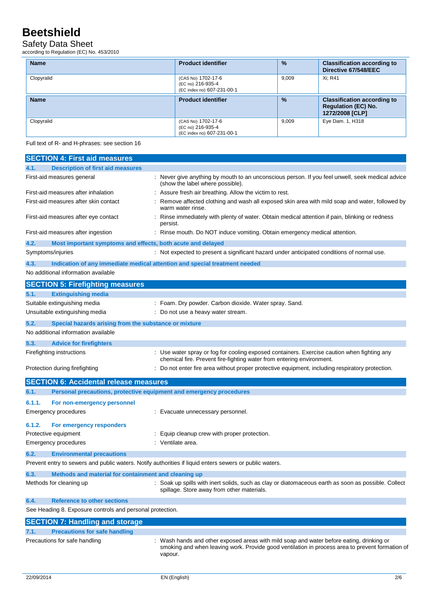# Safety Data Sheet

according to Regulation (EC) No. 453/2010

| <b>Name</b> | <b>Product identifier</b>                                             | $\frac{9}{6}$ | <b>Classification according to</b><br>Directive 67/548/EEC                          |
|-------------|-----------------------------------------------------------------------|---------------|-------------------------------------------------------------------------------------|
| Clopyralid  | (CAS No) 1702-17-6<br>(EC no) 216-935-4<br>(EC index no) 607-231-00-1 | 9,009         | Xi: R41                                                                             |
| <b>Name</b> | <b>Product identifier</b>                                             | $\frac{9}{6}$ | <b>Classification according to</b><br><b>Regulation (EC) No.</b><br>1272/2008 [CLP] |
| Clopyralid  | (CAS No) 1702-17-6<br>(EC no) 216-935-4<br>(EC index no) 607-231-00-1 | 9.009         | Eye Dam. 1, H318                                                                    |

Full text of R- and H-phrases: see section 16

|        | <b>SECTION 4: First aid measures</b>                                |                                                                                                                                                                                                        |
|--------|---------------------------------------------------------------------|--------------------------------------------------------------------------------------------------------------------------------------------------------------------------------------------------------|
| 4.1.   | <b>Description of first aid measures</b>                            |                                                                                                                                                                                                        |
|        | First-aid measures general                                          | Never give anything by mouth to an unconscious person. If you feel unwell, seek medical advice<br>(show the label where possible).                                                                     |
|        | First-aid measures after inhalation                                 | Assure fresh air breathing. Allow the victim to rest.                                                                                                                                                  |
|        | First-aid measures after skin contact                               | Remove affected clothing and wash all exposed skin area with mild soap and water, followed by<br>warm water rinse.                                                                                     |
|        | First-aid measures after eye contact                                | Rinse immediately with plenty of water. Obtain medical attention if pain, blinking or redness<br>persist.                                                                                              |
|        | First-aid measures after ingestion                                  | Rinse mouth. Do NOT induce vomiting. Obtain emergency medical attention.                                                                                                                               |
| 4.2.   | Most important symptoms and effects, both acute and delayed         |                                                                                                                                                                                                        |
|        | Symptoms/injuries                                                   | : Not expected to present a significant hazard under anticipated conditions of normal use.                                                                                                             |
| 4.3.   |                                                                     | Indication of any immediate medical attention and special treatment needed                                                                                                                             |
|        | No additional information available                                 |                                                                                                                                                                                                        |
|        | <b>SECTION 5: Firefighting measures</b>                             |                                                                                                                                                                                                        |
| 5.1.   | <b>Extinguishing media</b>                                          |                                                                                                                                                                                                        |
|        | Suitable extinguishing media                                        | : Foam. Dry powder. Carbon dioxide. Water spray. Sand.                                                                                                                                                 |
|        | Unsuitable extinguishing media                                      | Do not use a heavy water stream.                                                                                                                                                                       |
| 5.2.   | Special hazards arising from the substance or mixture               |                                                                                                                                                                                                        |
|        | No additional information available                                 |                                                                                                                                                                                                        |
| 5.3.   | <b>Advice for firefighters</b>                                      |                                                                                                                                                                                                        |
|        | Firefighting instructions                                           | Use water spray or fog for cooling exposed containers. Exercise caution when fighting any<br>chemical fire. Prevent fire-fighting water from entering environment.                                     |
|        | Protection during firefighting                                      | Do not enter fire area without proper protective equipment, including respiratory protection.                                                                                                          |
|        | <b>SECTION 6: Accidental release measures</b>                       |                                                                                                                                                                                                        |
| 6.1.   | Personal precautions, protective equipment and emergency procedures |                                                                                                                                                                                                        |
| 6.1.1. | For non-emergency personnel                                         |                                                                                                                                                                                                        |
|        | Emergency procedures                                                | : Evacuate unnecessary personnel.                                                                                                                                                                      |
| 6.1.2. | For emergency responders                                            |                                                                                                                                                                                                        |
|        | Protective equipment                                                | Equip cleanup crew with proper protection.                                                                                                                                                             |
|        | Emergency procedures                                                | Ventilate area.                                                                                                                                                                                        |
| 6.2.   | <b>Environmental precautions</b>                                    |                                                                                                                                                                                                        |
|        |                                                                     | Prevent entry to sewers and public waters. Notify authorities if liquid enters sewers or public waters.                                                                                                |
| 6.3.   | Methods and material for containment and cleaning up                |                                                                                                                                                                                                        |
|        | Methods for cleaning up                                             | : Soak up spills with inert solids, such as clay or diatomaceous earth as soon as possible. Collect<br>spillage. Store away from other materials.                                                      |
| 6.4.   | <b>Reference to other sections</b>                                  |                                                                                                                                                                                                        |
|        | See Heading 8. Exposure controls and personal protection.           |                                                                                                                                                                                                        |
|        | <b>SECTION 7: Handling and storage</b>                              |                                                                                                                                                                                                        |
| 7.1.   | <b>Precautions for safe handling</b>                                |                                                                                                                                                                                                        |
|        | Precautions for safe handling                                       | : Wash hands and other exposed areas with mild soap and water before eating, drinking or<br>smoking and when leaving work. Provide good ventilation in process area to prevent formation of<br>vapour. |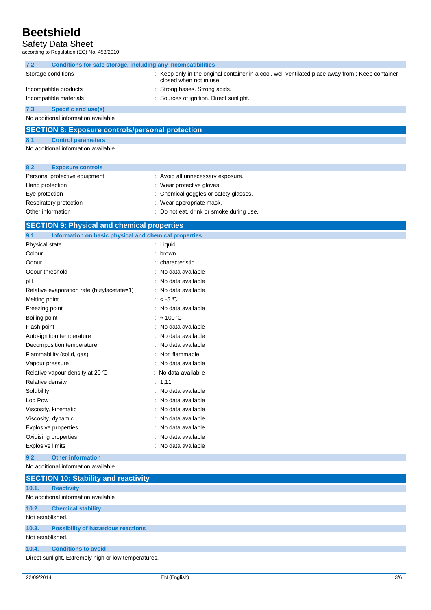## Safety Data Sheet

according to Regulation (EC) No. 453/2010

| 7.2. | Conditions for safe storage, including any incompatibilities |  |                                                                                                                            |
|------|--------------------------------------------------------------|--|----------------------------------------------------------------------------------------------------------------------------|
|      | Storage conditions                                           |  | Keep only in the original container in a cool, well ventilated place away from : Keep container<br>closed when not in use. |
|      | Incompatible products                                        |  | Strong bases. Strong acids.                                                                                                |
|      | Incompatible materials                                       |  | : Sources of ignition. Direct sunlight.                                                                                    |
| 7.3. | <b>Specific end use(s)</b>                                   |  |                                                                                                                            |

No additional information available

## **SECTION 8: Exposure controls/personal protection**

### **8.1. Control parameters**

No additional information available

| 8.2.              | <b>Exposure controls</b>      |                                          |
|-------------------|-------------------------------|------------------------------------------|
|                   | Personal protective equipment | : Avoid all unnecessary exposure.        |
| Hand protection   |                               | : Wear protective gloves.                |
| Eye protection    |                               | : Chemical goggles or safety glasses.    |
|                   | Respiratory protection        | : Wear appropriate mask.                 |
| Other information |                               | : Do not eat, drink or smoke during use. |

### **SECTION 9: Physical and chemical properties**

| Information on basic physical and chemical properties<br>9.1. |                   |
|---------------------------------------------------------------|-------------------|
| Physical state                                                | Liquid            |
| Colour                                                        | brown.            |
| Odour                                                         | characteristic.   |
| Odour threshold                                               | No data available |
| рH                                                            | No data available |
| Relative evaporation rate (butylacetate=1)                    | No data available |
| Melting point                                                 | : $<$ 5 $<$       |
| Freezing point                                                | No data available |
| Boiling point                                                 | $\approx$ 100 °C  |
| Flash point                                                   | No data available |
| Auto-ignition temperature                                     | No data available |
| Decomposition temperature                                     | No data available |
| Flammability (solid, gas)                                     | Non flammable     |
| Vapour pressure                                               | No data available |
| Relative vapour density at 20 $\mathbb C$                     | No data available |
| Relative density                                              | 1,11              |
| Solubility                                                    | No data available |
| Log Pow                                                       | No data available |
| Viscosity, kinematic                                          | No data available |
| Viscosity, dynamic                                            | No data available |
| <b>Explosive properties</b>                                   | No data available |
| Oxidising properties                                          | No data available |
| <b>Explosive limits</b>                                       | No data available |

**9.2. Other information** 

#### No additional information available

|                  | <b>SECTION 10: Stability and reactivity</b>          |  |  |
|------------------|------------------------------------------------------|--|--|
|                  |                                                      |  |  |
| 10.1.            | <b>Reactivity</b>                                    |  |  |
|                  | No additional information available                  |  |  |
| 10.2.            | <b>Chemical stability</b>                            |  |  |
| Not established. |                                                      |  |  |
| 10.3.            | <b>Possibility of hazardous reactions</b>            |  |  |
| Not established. |                                                      |  |  |
| 10.4.            | <b>Conditions to avoid</b>                           |  |  |
|                  | Direct sunlight. Extremely high or low temperatures. |  |  |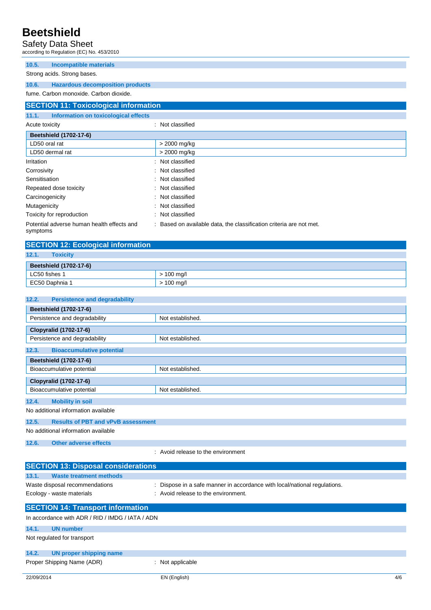## Safety Data Sheet

according to Regulation (EC) No. 453/2010

**10.5. Incompatible materials** 

Strong acids. Strong bases.

**10.6. Hazardous decomposition products** 

fume. Carbon monoxide. Carbon dioxide.

## **SECTION 11: Toxicological information**

### **11.1. Information on toxicological effects**

| Acute toxicity                                         | : Not classified                                                    |
|--------------------------------------------------------|---------------------------------------------------------------------|
| <b>Beetshield (1702-17-6)</b>                          |                                                                     |
| LD50 oral rat                                          | > 2000 mg/kg                                                        |
| LD50 dermal rat                                        | > 2000 mg/kg                                                        |
| Irritation                                             | : Not classified                                                    |
| Corrosivity                                            | : Not classified                                                    |
| Sensitisation                                          | : Not classified                                                    |
| Repeated dose toxicity                                 | : Not classified                                                    |
| Carcinogenicity                                        | : Not classified                                                    |
| Mutagenicity                                           | : Not classified                                                    |
| Toxicity for reproduction                              | : Not classified                                                    |
| Potential adverse human health effects and<br>symptoms | : Based on available data, the classification criteria are not met. |

| <b>SECTION 12: Ecological information</b> |              |  |  |
|-------------------------------------------|--------------|--|--|
| 12.1.<br><b>Toxicity</b>                  |              |  |  |
| <b>Beetshield (1702-17-6)</b>             |              |  |  |
| LC50 fishes 1                             | $> 100$ mg/l |  |  |
| EC50 Daphnia 1                            | $> 100$ mg/l |  |  |

| 12.2.<br><b>Persistence and degradability</b>                                                                                                                                                                                     |                  |  |
|-----------------------------------------------------------------------------------------------------------------------------------------------------------------------------------------------------------------------------------|------------------|--|
| <b>Beetshield (1702-17-6)</b>                                                                                                                                                                                                     |                  |  |
| Persistence and degradability                                                                                                                                                                                                     | Not established. |  |
| Clopyralid (1702-17-6)                                                                                                                                                                                                            |                  |  |
| Persistence and degradability                                                                                                                                                                                                     | Not established. |  |
| <b>Bioaccumulative potential</b><br>12.3.                                                                                                                                                                                         |                  |  |
| <b>Beetshield (1702-17-6)</b>                                                                                                                                                                                                     |                  |  |
| Bioaccumulative potential                                                                                                                                                                                                         | Not established. |  |
| Clopyralid (1702-17-6)                                                                                                                                                                                                            |                  |  |
| Bioaccumulative potential                                                                                                                                                                                                         | Not established. |  |
| 12.4.<br><b>Mobility in soil</b>                                                                                                                                                                                                  |                  |  |
| $\mathbf{r}$ . The set of the set of the set of the set of the set of the set of the set of the set of the set of the set of the set of the set of the set of the set of the set of the set of the set of the set of the set of t |                  |  |

No additional information available

### **12.5. Results of PBT and vPvB assessment**

No additional information available

**12.6. Other adverse effects** 

: Avoid release to the environment

| <b>SECTION 13: Disposal considerations</b>                                                   |                                                                           |  |  |
|----------------------------------------------------------------------------------------------|---------------------------------------------------------------------------|--|--|
| 13.1.<br><b>Waste treatment methods</b>                                                      |                                                                           |  |  |
| Waste disposal recommendations                                                               | : Dispose in a safe manner in accordance with local/national regulations. |  |  |
| Ecology - waste materials                                                                    | : Avoid release to the environment.                                       |  |  |
| <b>SECTION 14: Transport information</b><br>In accordance with ADR / RID / IMDG / IATA / ADN |                                                                           |  |  |
| 14.1.<br><b>UN</b> number                                                                    |                                                                           |  |  |
| Not regulated for transport                                                                  |                                                                           |  |  |

#### **14.2. UN proper shipping name**

Proper Shipping Name (ADR) : Not applicable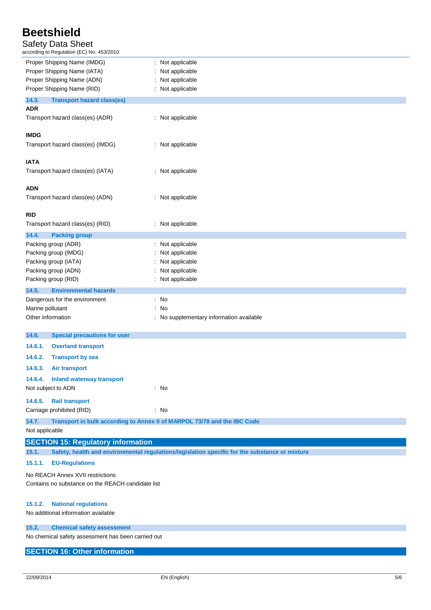## Safety Data Sheet

according to Regulation (EC) No. 453/2010

| Proper Shipping Name (IMDG)                        | : Not applicable                                                                               |  |
|----------------------------------------------------|------------------------------------------------------------------------------------------------|--|
| Proper Shipping Name (IATA)                        | Not applicable                                                                                 |  |
| Proper Shipping Name (ADN)                         | Not applicable                                                                                 |  |
| Proper Shipping Name (RID)                         | : Not applicable                                                                               |  |
| 14.3.<br><b>Transport hazard class(es)</b>         |                                                                                                |  |
| <b>ADR</b>                                         |                                                                                                |  |
| Transport hazard class(es) (ADR)                   | : Not applicable                                                                               |  |
|                                                    |                                                                                                |  |
| <b>IMDG</b>                                        |                                                                                                |  |
| Transport hazard class(es) (IMDG)                  | : Not applicable                                                                               |  |
| <b>IATA</b>                                        |                                                                                                |  |
| Transport hazard class(es) (IATA)                  | : Not applicable                                                                               |  |
|                                                    |                                                                                                |  |
| <b>ADN</b>                                         |                                                                                                |  |
| Transport hazard class(es) (ADN)                   | : Not applicable                                                                               |  |
|                                                    |                                                                                                |  |
| <b>RID</b>                                         |                                                                                                |  |
| Transport hazard class(es) (RID)                   | : Not applicable                                                                               |  |
| 14.4.<br><b>Packing group</b>                      |                                                                                                |  |
| Packing group (ADR)                                | Not applicable                                                                                 |  |
| Packing group (IMDG)                               | Not applicable                                                                                 |  |
| Packing group (IATA)                               | Not applicable                                                                                 |  |
| Packing group (ADN)                                | Not applicable                                                                                 |  |
| Packing group (RID)                                | Not applicable                                                                                 |  |
| 14.5.<br><b>Environmental hazards</b>              |                                                                                                |  |
| Dangerous for the environment                      | $\therefore$ No                                                                                |  |
| Marine pollutant                                   | : No                                                                                           |  |
| Other information                                  | : No supplementary information available                                                       |  |
| 14.6.<br><b>Special precautions for user</b>       |                                                                                                |  |
| 14.6.1.<br><b>Overland transport</b>               |                                                                                                |  |
|                                                    |                                                                                                |  |
| 14.6.2.<br><b>Transport by sea</b>                 |                                                                                                |  |
| 14.6.3.<br><b>Air transport</b>                    |                                                                                                |  |
| 14.6.4. Inland waterway transport                  |                                                                                                |  |
| Not subject to ADN                                 | : No                                                                                           |  |
| 14.6.5.<br><b>Rail transport</b>                   |                                                                                                |  |
| Carriage prohibited (RID)                          | : No                                                                                           |  |
| 14.7.                                              | Transport in bulk according to Annex II of MARPOL 73/78 and the IBC Code                       |  |
| Not applicable                                     |                                                                                                |  |
| <b>SECTION 15: Regulatory information</b>          |                                                                                                |  |
| 15.1.                                              | Safety, health and environmental regulations/legislation specific for the substance or mixture |  |
|                                                    |                                                                                                |  |
| 15.1.1.<br><b>EU-Regulations</b>                   |                                                                                                |  |
| No REACH Annex XVII restrictions                   |                                                                                                |  |
| Contains no substance on the REACH candidate list  |                                                                                                |  |
|                                                    |                                                                                                |  |
| 15.1.2.<br><b>National regulations</b>             |                                                                                                |  |
| No additional information available                |                                                                                                |  |
| 15.2.<br><b>Chemical safety assessment</b>         |                                                                                                |  |
| No chemical safety assessment has been carried out |                                                                                                |  |

**SECTION 16: Other information**